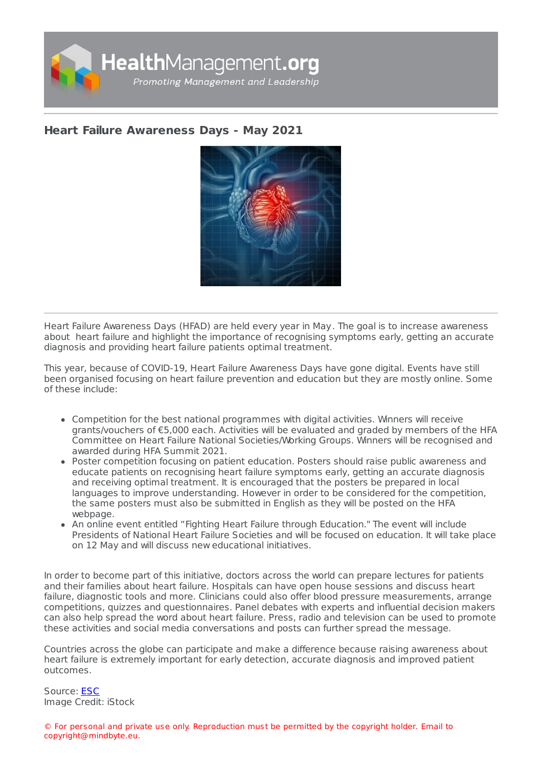

## **Heart Failure [Awareness](https://healthmanagement.org/s/heart-failure-awareness-days-may-2021) Days - May 2021**



Heart Failure Awareness Days (HFAD) are held every year in May. The goal is to increase awareness about heart failure and highlight the importance of recognising symptoms early, getting an accurate diagnosis and providing heart failure patients optimal treatment.

This year, because of COVID-19, Heart Failure Awareness Days have gone digital. Events have still been organised focusing on heart failure prevention and education but they are mostly online. Some of these include:

- Competition for the best national programmes with digital activities. Winners will receive grants/vouchers of €5,000 each. Activities will be evaluated and graded by members of the HFA Committee on Heart Failure National Societies/Working Groups. Winners will be recognised and awarded during HFA Summit 2021.
- Poster competition focusing on patient education. Posters should raise public awareness and educate patients on recognising heart failure symptoms early, getting an accurate diagnosis and receiving optimal treatment. It is encouraged that the posters be prepared in local languages to improve understanding. However in order to be considered for the competition, the same posters must also be submitted in English as they will be posted on the HFA webpage.
- An online event entitled "Fighting Heart Failure through Education." The event will include Presidents of National Heart Failure Societies and will be focused on education. It will take place on 12 May and will discuss new educational initiatives.

In order to become part of this initiative, doctors across the world can prepare lectures for patients and their families about heart failure. Hospitals can have open house sessions and discuss heart failure, diagnostic tools and more. Clinicians could also offer blood pressure measurements, arrange competitions, quizzes and questionnaires. Panel debates with experts and influential decision makers can also help spread the word about heart failure. Press, radio and television can be used to promote these activities and social media conversations and posts can further spread the message.

Countries across the globe can participate and make a difference because raising awareness about heart failure is extremely important for early detection, accurate diagnosis and improved patient outcomes.

Source: [ESC](https://www.escardio.org/Sub-specialty-communities/Heart-Failure-Association-of-the-ESC-(HFA)/Advocacy/Heart-failure-awareness-day) Image Credit: iStock